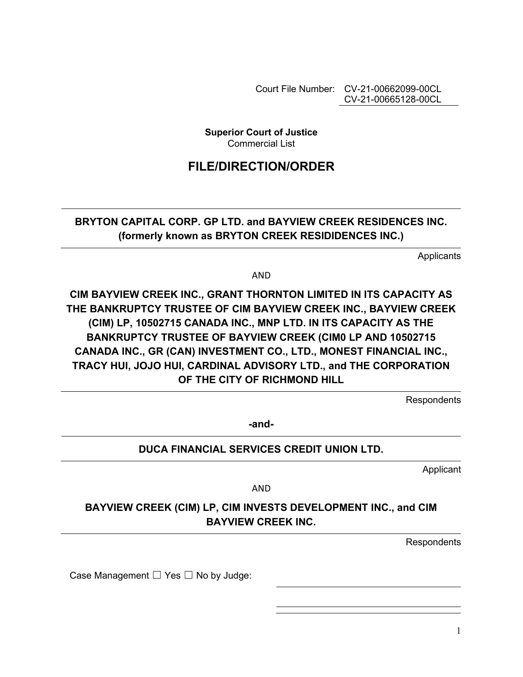Court File Number: CV-21-00662099-00CL CV-21-00665128-00CL

**Superior Court of Justice**  Commercial List

# **FILE/DIRECTION/ORDER**

## **BRYTON CAPITAL CORP. GP LTD. and BAYVIEW CREEK RESIDENCES INC. (formerly known as BRYTON CREEK RESIDIDENCES INC.)**

**Applicants** 

AND

**CIM BAYVIEW CREEK INC., GRANT THORNTON LIMITED IN ITS CAPACITY AS THE BANKRUPTCY TRUSTEE OF CIM BAYVIEW CREEK INC., BAYVIEW CREEK (CIM) LP, 10502715 CANADA INC., MNP LTD. IN ITS CAPACITY AS THE BANKRUPTCY TRUSTEE OF BAYVIEW CREEK (CIM0 LP AND 10502715 CANADA INC., GR (CAN) INVESTMENT CO., LTD., MONEST FINANCIAL INC., TRACY HUI, JOJO HUI, CARDINAL ADVISORY LTD., and THE CORPORATION OF THE CITY OF RICHMOND HILL** 

**Respondents** 

**-and-**

## **DUCA FINANCIAL SERVICES CREDIT UNION LTD.**

Applicant

AND

## **BAYVIEW CREEK (CIM) LP, CIM INVESTS DEVELOPMENT INC., and CIM BAYVIEW CREEK INC.**

**Respondents** 

Case Management  $\Box$  Yes  $\Box$  No by Judge: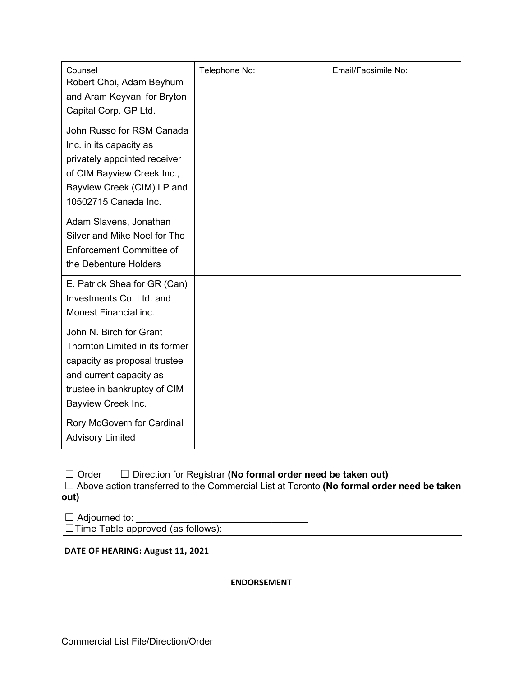| Counsel                                                                                                                                                                    | Telephone No: | Email/Facsimile No: |
|----------------------------------------------------------------------------------------------------------------------------------------------------------------------------|---------------|---------------------|
| Robert Choi, Adam Beyhum<br>and Aram Keyvani for Bryton                                                                                                                    |               |                     |
| Capital Corp. GP Ltd.                                                                                                                                                      |               |                     |
| John Russo for RSM Canada<br>Inc. in its capacity as<br>privately appointed receiver<br>of CIM Bayview Creek Inc.,<br>Bayview Creek (CIM) LP and                           |               |                     |
| 10502715 Canada Inc.                                                                                                                                                       |               |                     |
| Adam Slavens, Jonathan<br>Silver and Mike Noel for The<br><b>Enforcement Committee of</b><br>the Debenture Holders                                                         |               |                     |
| E. Patrick Shea for GR (Can)<br>Investments Co. Ltd. and<br>Monest Financial inc.                                                                                          |               |                     |
| John N. Birch for Grant<br>Thornton Limited in its former<br>capacity as proposal trustee<br>and current capacity as<br>trustee in bankruptcy of CIM<br>Bayview Creek Inc. |               |                     |
| Rory McGovern for Cardinal<br><b>Advisory Limited</b>                                                                                                                      |               |                     |

☐ Order ☐ Direction for Registrar **(No formal order need be taken out)**

☐ Above action transferred to the Commercial List at Toronto **(No formal order need be taken out)**

 $\Box$  Adjourned to: ☐Time Table approved (as follows):

**DATE OF HEARING: August 11, 2021**

**ENDORSEMENT**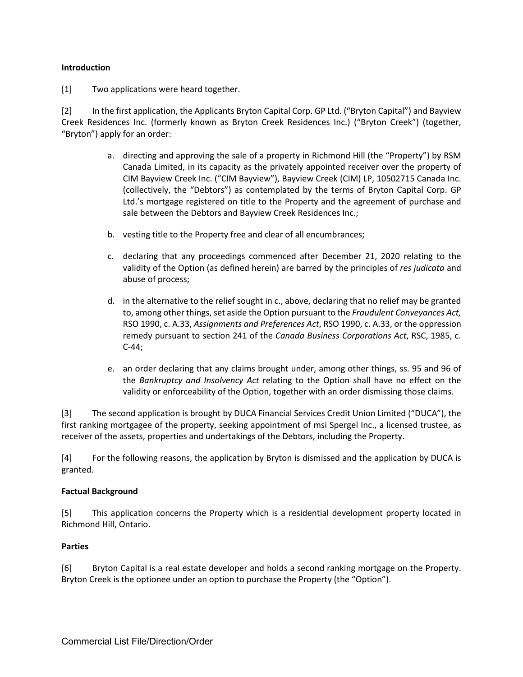#### **Introduction**

[1] Two applications were heard together.

[2] In the first application, the Applicants Bryton Capital Corp. GP Ltd. ("Bryton Capital") and Bayview Creek Residences Inc. (formerly known as Bryton Creek Residences Inc.) ("Bryton Creek") (together, "Bryton") apply for an order:

- a. directing and approving the sale of a property in Richmond Hill (the "Property") by RSM Canada Limited, in its capacity as the privately appointed receiver over the property of CIM Bayview Creek Inc. ("CIM Bayview"), Bayview Creek (CIM) LP, 10502715 Canada Inc. (collectively, the "Debtors") as contemplated by the terms of Bryton Capital Corp. GP Ltd.'s mortgage registered on title to the Property and the agreement of purchase and sale between the Debtors and Bayview Creek Residences Inc.;
- b. vesting title to the Property free and clear of all encumbrances;
- c. declaring that any proceedings commenced after December 21, 2020 relating to the validity of the Option (as defined herein) are barred by the principles of *res judicata* and abuse of process;
- d. in the alternative to the relief sought in c., above, declaring that no relief may be granted to, among other things, set aside the Option pursuant to the *Fraudulent Conveyances Act,* RSO 1990, c. A.33, *Assignments and Preferences Act*, RSO 1990, c. A.33, or the oppression remedy pursuant to section 241 of the *Canada Business Corporations Act*, RSC, 1985, c. C-44;
- e. an order declaring that any claims brought under, among other things, ss. 95 and 96 of the *Bankruptcy and Insolvency Act* relating to the Option shall have no effect on the validity or enforceability of the Option, together with an order dismissing those claims.

[3] The second application is brought by DUCA Financial Services Credit Union Limited ("DUCA"), the first ranking mortgagee of the property, seeking appointment of msi Spergel Inc., a licensed trustee, as receiver of the assets, properties and undertakings of the Debtors, including the Property.

[4] For the following reasons, the application by Bryton is dismissed and the application by DUCA is granted.

#### **Factual Background**

[5] This application concerns the Property which is a residential development property located in Richmond Hill, Ontario.

#### **Parties**

[6] Bryton Capital is a real estate developer and holds a second ranking mortgage on the Property. Bryton Creek is the optionee under an option to purchase the Property (the "Option").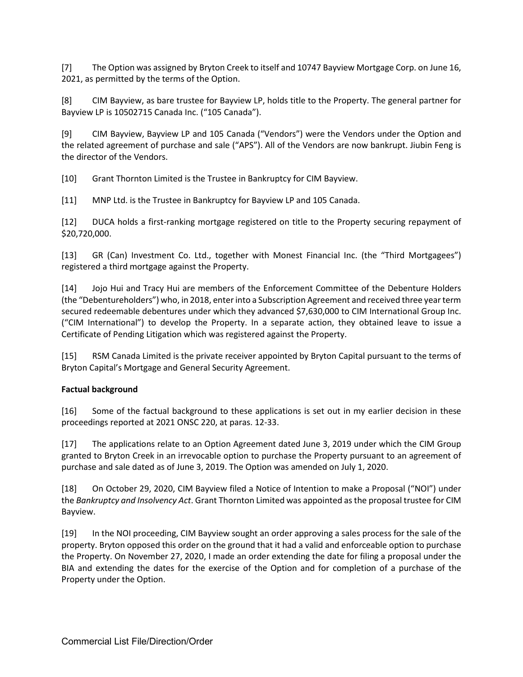[7] The Option was assigned by Bryton Creek to itself and 10747 Bayview Mortgage Corp. on June 16, 2021, as permitted by the terms of the Option.

[8] CIM Bayview, as bare trustee for Bayview LP, holds title to the Property. The general partner for Bayview LP is 10502715 Canada Inc. ("105 Canada").

[9] CIM Bayview, Bayview LP and 105 Canada ("Vendors") were the Vendors under the Option and the related agreement of purchase and sale ("APS"). All of the Vendors are now bankrupt. Jiubin Feng is the director of the Vendors.

[10] Grant Thornton Limited is the Trustee in Bankruptcy for CIM Bayview.

[11] MNP Ltd. is the Trustee in Bankruptcy for Bayview LP and 105 Canada.

[12] DUCA holds a first-ranking mortgage registered on title to the Property securing repayment of \$20,720,000.

[13] GR (Can) Investment Co. Ltd., together with Monest Financial Inc. (the "Third Mortgagees") registered a third mortgage against the Property.

[14] Jojo Hui and Tracy Hui are members of the Enforcement Committee of the Debenture Holders (the "Debentureholders") who, in 2018, enter into a Subscription Agreement and received three year term secured redeemable debentures under which they advanced \$7,630,000 to CIM International Group Inc. ("CIM International") to develop the Property. In a separate action, they obtained leave to issue a Certificate of Pending Litigation which was registered against the Property.

[15] RSM Canada Limited is the private receiver appointed by Bryton Capital pursuant to the terms of Bryton Capital's Mortgage and General Security Agreement.

#### **Factual background**

[16] Some of the factual background to these applications is set out in my earlier decision in these proceedings reported at 2021 ONSC 220, at paras. 12-33.

[17] The applications relate to an Option Agreement dated June 3, 2019 under which the CIM Group granted to Bryton Creek in an irrevocable option to purchase the Property pursuant to an agreement of purchase and sale dated as of June 3, 2019. The Option was amended on July 1, 2020.

[18] On October 29, 2020, CIM Bayview filed a Notice of Intention to make a Proposal ("NOI") under the *Bankruptcy and Insolvency Act*. Grant Thornton Limited was appointed as the proposal trustee for CIM Bayview.

[19] In the NOI proceeding, CIM Bayview sought an order approving a sales process for the sale of the property. Bryton opposed this order on the ground that it had a valid and enforceable option to purchase the Property. On November 27, 2020, I made an order extending the date for filing a proposal under the BIA and extending the dates for the exercise of the Option and for completion of a purchase of the Property under the Option.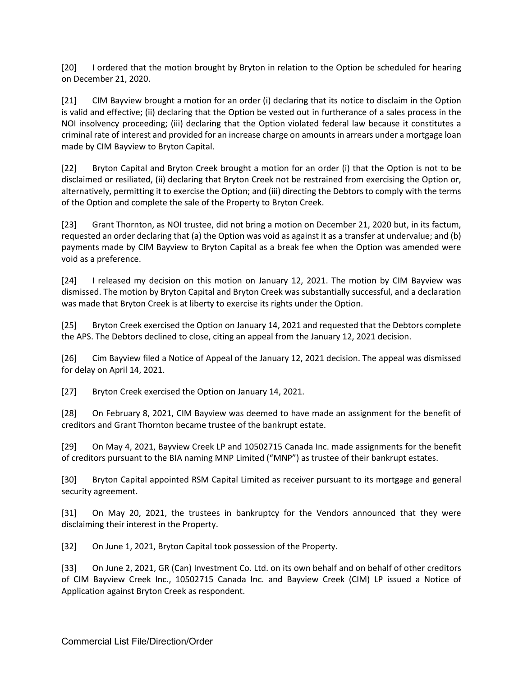[20] I ordered that the motion brought by Bryton in relation to the Option be scheduled for hearing on December 21, 2020.

[21] CIM Bayview brought a motion for an order (i) declaring that its notice to disclaim in the Option is valid and effective; (ii) declaring that the Option be vested out in furtherance of a sales process in the NOI insolvency proceeding; (iii) declaring that the Option violated federal law because it constitutes a criminal rate of interest and provided for an increase charge on amounts in arrears under a mortgage loan made by CIM Bayview to Bryton Capital.

[22] Bryton Capital and Bryton Creek brought a motion for an order (i) that the Option is not to be disclaimed or resiliated, (ii) declaring that Bryton Creek not be restrained from exercising the Option or, alternatively, permitting it to exercise the Option; and (iii) directing the Debtors to comply with the terms of the Option and complete the sale of the Property to Bryton Creek.

[23] Grant Thornton, as NOI trustee, did not bring a motion on December 21, 2020 but, in its factum, requested an order declaring that (a) the Option was void as against it as a transfer at undervalue; and (b) payments made by CIM Bayview to Bryton Capital as a break fee when the Option was amended were void as a preference.

[24] I released my decision on this motion on January 12, 2021. The motion by CIM Bayview was dismissed. The motion by Bryton Capital and Bryton Creek was substantially successful, and a declaration was made that Bryton Creek is at liberty to exercise its rights under the Option.

[25] Bryton Creek exercised the Option on January 14, 2021 and requested that the Debtors complete the APS. The Debtors declined to close, citing an appeal from the January 12, 2021 decision.

[26] Cim Bayview filed a Notice of Appeal of the January 12, 2021 decision. The appeal was dismissed for delay on April 14, 2021.

[27] Bryton Creek exercised the Option on January 14, 2021.

[28] On February 8, 2021, CIM Bayview was deemed to have made an assignment for the benefit of creditors and Grant Thornton became trustee of the bankrupt estate.

[29] On May 4, 2021, Bayview Creek LP and 10502715 Canada Inc. made assignments for the benefit of creditors pursuant to the BIA naming MNP Limited ("MNP") as trustee of their bankrupt estates.

[30] Bryton Capital appointed RSM Capital Limited as receiver pursuant to its mortgage and general security agreement.

[31] On May 20, 2021, the trustees in bankruptcy for the Vendors announced that they were disclaiming their interest in the Property.

[32] On June 1, 2021, Bryton Capital took possession of the Property.

[33] On June 2, 2021, GR (Can) Investment Co. Ltd. on its own behalf and on behalf of other creditors of CIM Bayview Creek Inc., 10502715 Canada Inc. and Bayview Creek (CIM) LP issued a Notice of Application against Bryton Creek as respondent.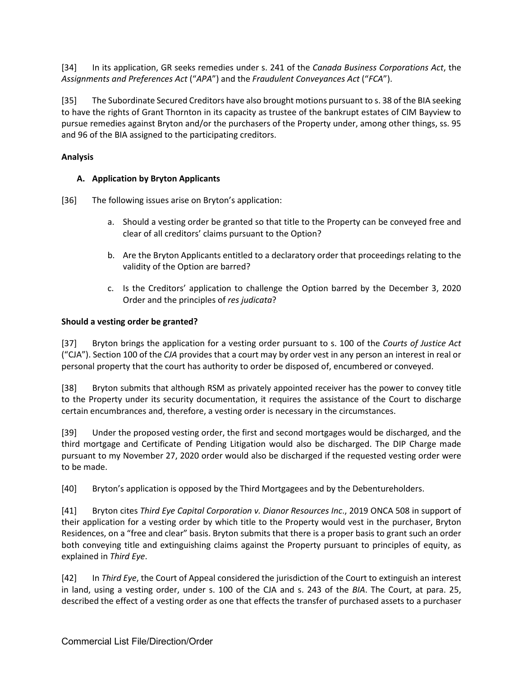[34] In its application, GR seeks remedies under s. 241 of the *Canada Business Corporations Act*, the *Assignments and Preferences Act* ("*APA*") and the *Fraudulent Conveyances Act* ("*FCA*").

[35] The Subordinate Secured Creditors have also brought motions pursuant to s. 38 of the BIA seeking to have the rights of Grant Thornton in its capacity as trustee of the bankrupt estates of CIM Bayview to pursue remedies against Bryton and/or the purchasers of the Property under, among other things, ss. 95 and 96 of the BIA assigned to the participating creditors.

## **Analysis**

### **A. Application by Bryton Applicants**

[36] The following issues arise on Bryton's application:

- a. Should a vesting order be granted so that title to the Property can be conveyed free and clear of all creditors' claims pursuant to the Option?
- b. Are the Bryton Applicants entitled to a declaratory order that proceedings relating to the validity of the Option are barred?
- c. Is the Creditors' application to challenge the Option barred by the December 3, 2020 Order and the principles of *res judicata*?

### **Should a vesting order be granted?**

[37] Bryton brings the application for a vesting order pursuant to s. 100 of the *Courts of Justice Act* ("CJA"). Section 100 of the *CJA* provides that a court may by order vest in any person an interest in real or personal property that the court has authority to order be disposed of, encumbered or conveyed.

[38] Bryton submits that although RSM as privately appointed receiver has the power to convey title to the Property under its security documentation, it requires the assistance of the Court to discharge certain encumbrances and, therefore, a vesting order is necessary in the circumstances.

[39] Under the proposed vesting order, the first and second mortgages would be discharged, and the third mortgage and Certificate of Pending Litigation would also be discharged. The DIP Charge made pursuant to my November 27, 2020 order would also be discharged if the requested vesting order were to be made.

[40] Bryton's application is opposed by the Third Mortgagees and by the Debentureholders.

[41] Bryton cites *Third Eye Capital Corporation v. Dianor Resources Inc*., 2019 ONCA 508 in support of their application for a vesting order by which title to the Property would vest in the purchaser, Bryton Residences, on a "free and clear" basis. Bryton submits that there is a proper basis to grant such an order both conveying title and extinguishing claims against the Property pursuant to principles of equity, as explained in *Third Eye*.

[42] In *Third Eye*, the Court of Appeal considered the jurisdiction of the Court to extinguish an interest in land, using a vesting order, under s. 100 of the CJA and s. 243 of the *BIA*. The Court, at para. 25, described the effect of a vesting order as one that effects the transfer of purchased assets to a purchaser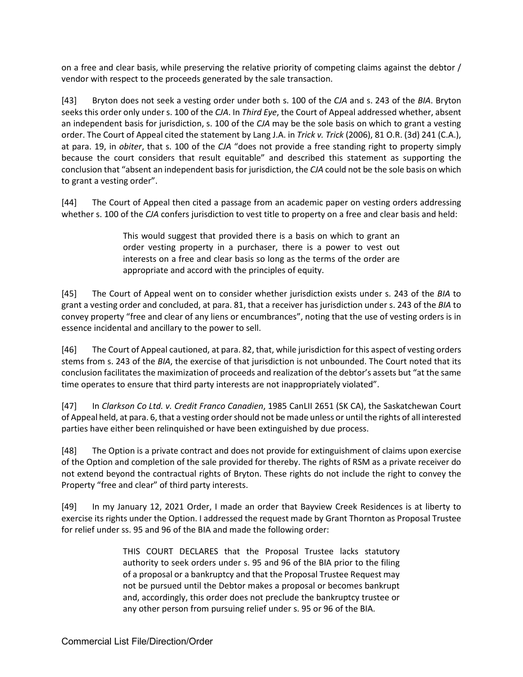on a free and clear basis, while preserving the relative priority of competing claims against the debtor / vendor with respect to the proceeds generated by the sale transaction.

[43] Bryton does not seek a vesting order under both s. 100 of the *CJA* and s. 243 of the *BIA*. Bryton seeks this order only under s. 100 of the *CJA*. In *Third Eye*, the Court of Appeal addressed whether, absent an independent basis for jurisdiction, s. 100 of the *CJA* may be the sole basis on which to grant a vesting order. The Court of Appeal cited the statement by Lang J.A. in *Trick v. Trick* (2006), 81 O.R. (3d) 241 (C.A.), at para. 19, in *obiter*, that s. 100 of the *CJA* "does not provide a free standing right to property simply because the court considers that result equitable" and described this statement as supporting the conclusion that "absent an independent basis for jurisdiction, the *CJA* could not be the sole basis on which to grant a vesting order".

[44] The Court of Appeal then cited a passage from an academic paper on vesting orders addressing whether s. 100 of the *CJA* confers jurisdiction to vest title to property on a free and clear basis and held:

> This would suggest that provided there is a basis on which to grant an order vesting property in a purchaser, there is a power to vest out interests on a free and clear basis so long as the terms of the order are appropriate and accord with the principles of equity.

[45] The Court of Appeal went on to consider whether jurisdiction exists under s. 243 of the *BIA* to grant a vesting order and concluded, at para. 81, that a receiver has jurisdiction under s. 243 of the *BIA* to convey property "free and clear of any liens or encumbrances", noting that the use of vesting orders is in essence incidental and ancillary to the power to sell.

[46] The Court of Appeal cautioned, at para. 82, that, while jurisdiction for this aspect of vesting orders stems from s. 243 of the *BIA*, the exercise of that jurisdiction is not unbounded. The Court noted that its conclusion facilitates the maximization of proceeds and realization of the debtor's assets but "at the same time operates to ensure that third party interests are not inappropriately violated".

[47] In *Clarkson Co Ltd. v. Credit Franco Canadien*, 1985 CanLII 2651 (SK CA), the Saskatchewan Court of Appeal held, at para. 6, that a vesting order should not be made unless or until the rights of all interested parties have either been relinquished or have been extinguished by due process.

[48] The Option is a private contract and does not provide for extinguishment of claims upon exercise of the Option and completion of the sale provided for thereby. The rights of RSM as a private receiver do not extend beyond the contractual rights of Bryton. These rights do not include the right to convey the Property "free and clear" of third party interests.

[49] In my January 12, 2021 Order, I made an order that Bayview Creek Residences is at liberty to exercise its rights under the Option. I addressed the request made by Grant Thornton as Proposal Trustee for relief under ss. 95 and 96 of the BIA and made the following order:

> THIS COURT DECLARES that the Proposal Trustee lacks statutory authority to seek orders under s. 95 and 96 of the BIA prior to the filing of a proposal or a bankruptcy and that the Proposal Trustee Request may not be pursued until the Debtor makes a proposal or becomes bankrupt and, accordingly, this order does not preclude the bankruptcy trustee or any other person from pursuing relief under s. 95 or 96 of the BIA.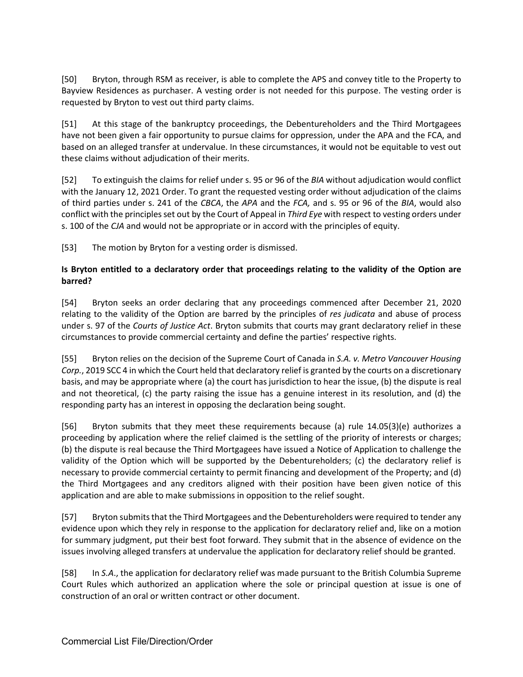[50] Bryton, through RSM as receiver, is able to complete the APS and convey title to the Property to Bayview Residences as purchaser. A vesting order is not needed for this purpose. The vesting order is requested by Bryton to vest out third party claims.

[51] At this stage of the bankruptcy proceedings, the Debentureholders and the Third Mortgagees have not been given a fair opportunity to pursue claims for oppression, under the APA and the FCA, and based on an alleged transfer at undervalue. In these circumstances, it would not be equitable to vest out these claims without adjudication of their merits.

[52] To extinguish the claims for relief under s. 95 or 96 of the *BIA* without adjudication would conflict with the January 12, 2021 Order. To grant the requested vesting order without adjudication of the claims of third parties under s. 241 of the *CBCA*, the *APA* and the *FCA,* and s. 95 or 96 of the *BIA*, would also conflict with the principles set out by the Court of Appeal in *Third Eye* with respect to vesting orders under s. 100 of the *CJA* and would not be appropriate or in accord with the principles of equity.

[53] The motion by Bryton for a vesting order is dismissed.

## **Is Bryton entitled to a declaratory order that proceedings relating to the validity of the Option are barred?**

[54] Bryton seeks an order declaring that any proceedings commenced after December 21, 2020 relating to the validity of the Option are barred by the principles of *res judicata* and abuse of process under s. 97 of the *Courts of Justice Act*. Bryton submits that courts may grant declaratory relief in these circumstances to provide commercial certainty and define the parties' respective rights.

[55] Bryton relies on the decision of the Supreme Court of Canada in *S.A. v. Metro Vancouver Housing Corp.*, 2019 SCC 4 in which the Court held that declaratory relief is granted by the courts on a discretionary basis, and may be appropriate where (a) the court has jurisdiction to hear the issue, (b) the dispute is real and not theoretical, (c) the party raising the issue has a genuine interest in its resolution, and (d) the responding party has an interest in opposing the declaration being sought.

[56] Bryton submits that they meet these requirements because (a) rule 14.05(3)(e) authorizes a proceeding by application where the relief claimed is the settling of the priority of interests or charges; (b) the dispute is real because the Third Mortgagees have issued a Notice of Application to challenge the validity of the Option which will be supported by the Debentureholders; (c) the declaratory relief is necessary to provide commercial certainty to permit financing and development of the Property; and (d) the Third Mortgagees and any creditors aligned with their position have been given notice of this application and are able to make submissions in opposition to the relief sought.

[57] Bryton submits that the Third Mortgagees and the Debentureholders were required to tender any evidence upon which they rely in response to the application for declaratory relief and, like on a motion for summary judgment, put their best foot forward. They submit that in the absence of evidence on the issues involving alleged transfers at undervalue the application for declaratory relief should be granted.

[58] In *S.A*., the application for declaratory relief was made pursuant to the British Columbia Supreme Court Rules which authorized an application where the sole or principal question at issue is one of construction of an oral or written contract or other document.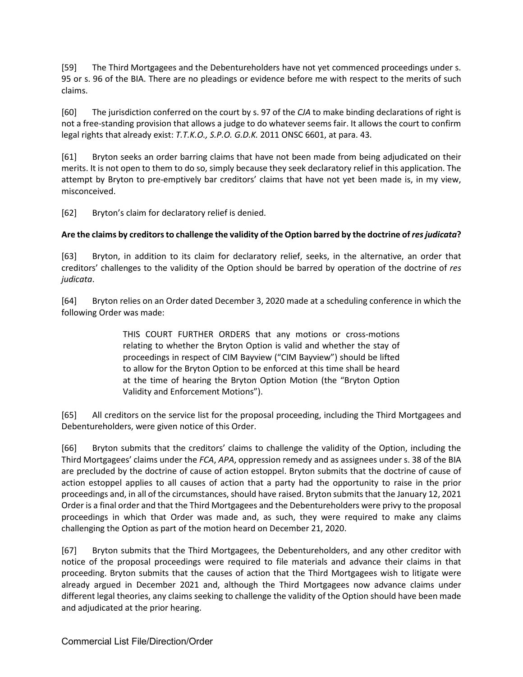[59] The Third Mortgagees and the Debentureholders have not yet commenced proceedings under s. 95 or s. 96 of the BIA. There are no pleadings or evidence before me with respect to the merits of such claims.

[60] The jurisdiction conferred on the court by s. 97 of the *CJA* to make binding declarations of right is not a free-standing provision that allows a judge to do whatever seems fair. It allows the court to confirm legal rights that already exist: *T.T.K.O., S.P.O. G.D.K.* 2011 ONSC 6601, at para. 43.

[61] Bryton seeks an order barring claims that have not been made from being adjudicated on their merits. It is not open to them to do so, simply because they seek declaratory relief in this application. The attempt by Bryton to pre-emptively bar creditors' claims that have not yet been made is, in my view, misconceived.

[62] Bryton's claim for declaratory relief is denied.

#### **Are the claims by creditors to challenge the validity of the Option barred by the doctrine of***res judicata***?**

[63] Bryton, in addition to its claim for declaratory relief, seeks, in the alternative, an order that creditors' challenges to the validity of the Option should be barred by operation of the doctrine of *res judicata*.

[64] Bryton relies on an Order dated December 3, 2020 made at a scheduling conference in which the following Order was made:

> THIS COURT FURTHER ORDERS that any motions or cross-motions relating to whether the Bryton Option is valid and whether the stay of proceedings in respect of CIM Bayview ("CIM Bayview") should be lifted to allow for the Bryton Option to be enforced at this time shall be heard at the time of hearing the Bryton Option Motion (the "Bryton Option Validity and Enforcement Motions").

[65] All creditors on the service list for the proposal proceeding, including the Third Mortgagees and Debentureholders, were given notice of this Order.

[66] Bryton submits that the creditors' claims to challenge the validity of the Option, including the Third Mortgagees' claims under the *FCA*, *APA*, oppression remedy and as assignees under s. 38 of the BIA are precluded by the doctrine of cause of action estoppel. Bryton submits that the doctrine of cause of action estoppel applies to all causes of action that a party had the opportunity to raise in the prior proceedings and, in all of the circumstances, should have raised. Bryton submits that the January 12, 2021 Order is a final order and that the Third Mortgagees and the Debentureholders were privy to the proposal proceedings in which that Order was made and, as such, they were required to make any claims challenging the Option as part of the motion heard on December 21, 2020.

[67] Bryton submits that the Third Mortgagees, the Debentureholders, and any other creditor with notice of the proposal proceedings were required to file materials and advance their claims in that proceeding. Bryton submits that the causes of action that the Third Mortgagees wish to litigate were already argued in December 2021 and, although the Third Mortgagees now advance claims under different legal theories, any claims seeking to challenge the validity of the Option should have been made and adjudicated at the prior hearing.

Commercial List File/Direction/Order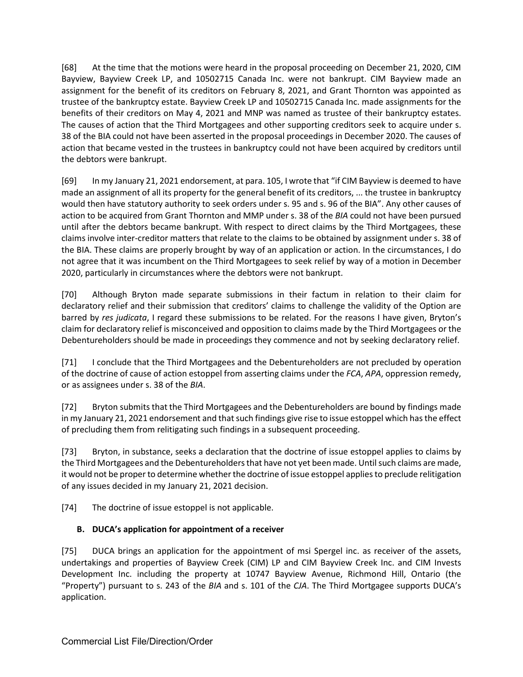[68] At the time that the motions were heard in the proposal proceeding on December 21, 2020, CIM Bayview, Bayview Creek LP, and 10502715 Canada Inc. were not bankrupt. CIM Bayview made an assignment for the benefit of its creditors on February 8, 2021, and Grant Thornton was appointed as trustee of the bankruptcy estate. Bayview Creek LP and 10502715 Canada Inc. made assignments for the benefits of their creditors on May 4, 2021 and MNP was named as trustee of their bankruptcy estates. The causes of action that the Third Mortgagees and other supporting creditors seek to acquire under s. 38 of the BIA could not have been asserted in the proposal proceedings in December 2020. The causes of action that became vested in the trustees in bankruptcy could not have been acquired by creditors until the debtors were bankrupt.

[69] In my January 21, 2021 endorsement, at para. 105, I wrote that "if CIM Bayview is deemed to have made an assignment of all its property for the general benefit of its creditors, ... the trustee in bankruptcy would then have statutory authority to seek orders under s. 95 and s. 96 of the BIA". Any other causes of action to be acquired from Grant Thornton and MMP under s. 38 of the *BIA* could not have been pursued until after the debtors became bankrupt. With respect to direct claims by the Third Mortgagees, these claims involve inter-creditor matters that relate to the claims to be obtained by assignment under s. 38 of the BIA. These claims are properly brought by way of an application or action. In the circumstances, I do not agree that it was incumbent on the Third Mortgagees to seek relief by way of a motion in December 2020, particularly in circumstances where the debtors were not bankrupt.

[70] Although Bryton made separate submissions in their factum in relation to their claim for declaratory relief and their submission that creditors' claims to challenge the validity of the Option are barred by *res judicata*, I regard these submissions to be related. For the reasons I have given, Bryton's claim for declaratory relief is misconceived and opposition to claims made by the Third Mortgagees or the Debentureholders should be made in proceedings they commence and not by seeking declaratory relief.

[71] I conclude that the Third Mortgagees and the Debentureholders are not precluded by operation of the doctrine of cause of action estoppel from asserting claims under the *FCA*, *APA*, oppression remedy, or as assignees under s. 38 of the *BIA*.

[72] Bryton submits that the Third Mortgagees and the Debentureholders are bound by findings made in my January 21, 2021 endorsement and that such findings give rise to issue estoppel which has the effect of precluding them from relitigating such findings in a subsequent proceeding.

[73] Bryton, in substance, seeks a declaration that the doctrine of issue estoppel applies to claims by the Third Mortgagees and the Debentureholders that have not yet been made. Until such claims are made, it would not be proper to determine whether the doctrine of issue estoppel applies to preclude relitigation of any issues decided in my January 21, 2021 decision.

[74] The doctrine of issue estoppel is not applicable.

## **B. DUCA's application for appointment of a receiver**

[75] DUCA brings an application for the appointment of msi Spergel inc. as receiver of the assets, undertakings and properties of Bayview Creek (CIM) LP and CIM Bayview Creek Inc. and CIM Invests Development Inc. including the property at 10747 Bayview Avenue, Richmond Hill, Ontario (the "Property") pursuant to s. 243 of the *BIA* and s. 101 of the *CJA*. The Third Mortgagee supports DUCA's application.